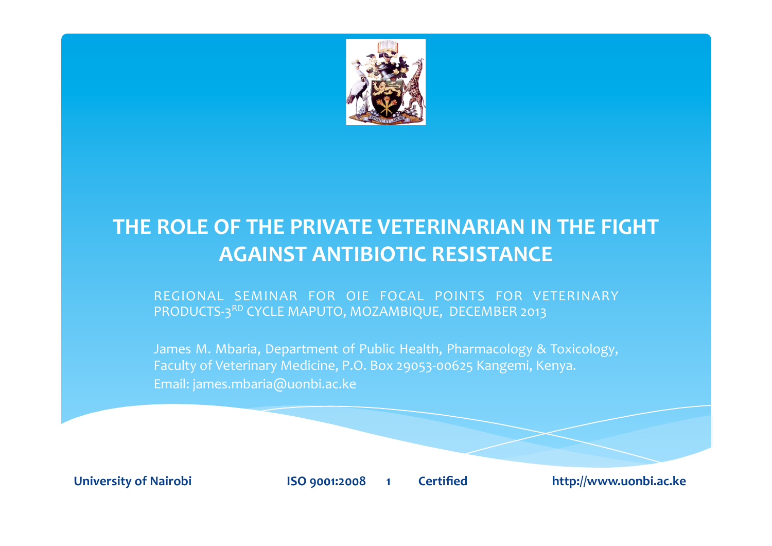

# **THE ROLE OF THE PRIVATE VETERINARIAN IN THE FIGHT AGAINST ANTIBIOTIC RESISTANCE**

REGIONAL SEMINAR FOR OIE FOCAL POINTS FOR VETERINARY PRODUCTS-3RD CYCLE MAPUTO, MOZAMBIQUE, DECEMBER 2013

James M. Mbaria, Department of Public Health, Pharmacology & Toxicology, Faculty of Veterinary Medicine, P.O. Box 29053-00625 Kangemi, Kenya. Email: james.mbaria@uonbi.ac.ke

University of Nairobi **8 <b>SECUSE ISO** 9001:2008 1 Certified **1 http://www.uonbi.ac.ke**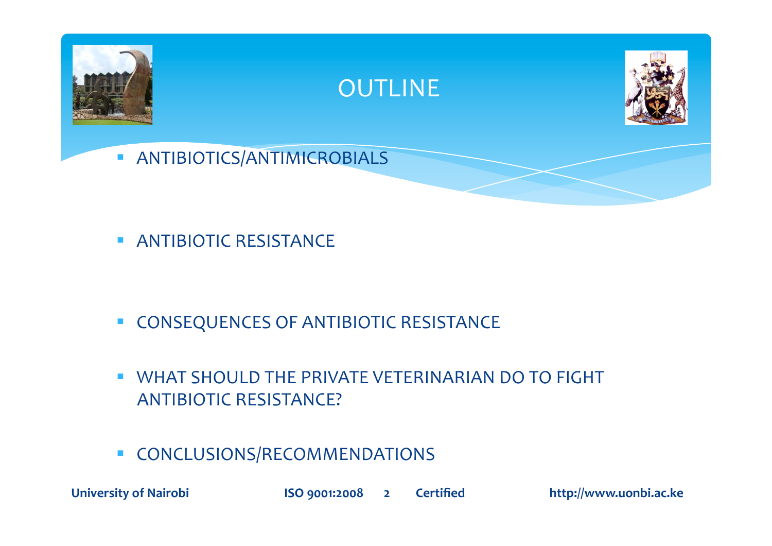

**ANTIBIOTIC RESISTANCE** 

- **CONSEQUENCES OF ANTIBIOTIC RESISTANCE**
- **WHAT SHOULD THE PRIVATE VETERINARIAN DO TO FIGHT** ANTIBIOTIC RESISTANCE?
- **CONCLUSIONS/RECOMMENDATIONS**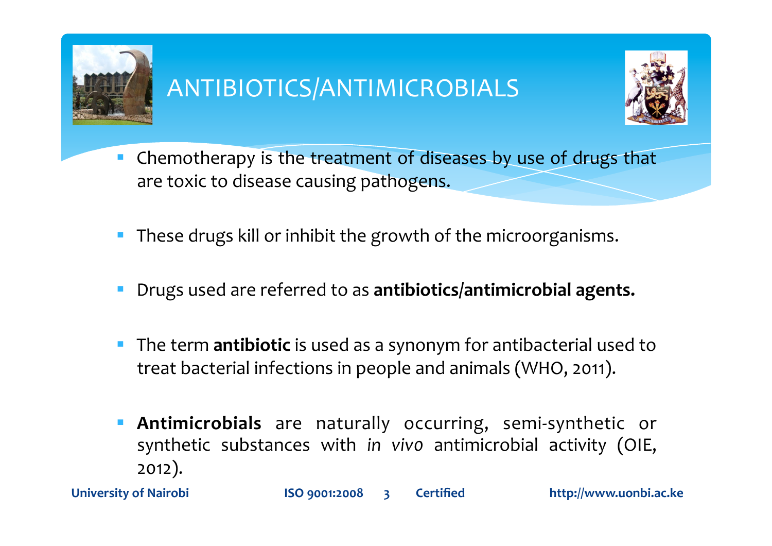

# ANTIBIOTICS/ANTIMICROBIALS



- Chemotherapy is the treatment of diseases by use of drugs that  $\mathcal{L}_{\mathcal{A}}$ are toxic to disease causing pathogens.
- These drugs kill or inhibit the growth of the microorganisms.  $\mathbb{R}^n$
- Drugs used are referred to as antibiotics/antimicrobial agents.
- The term **antibiotic** is used as a synonym for antibacterial used to  $\mathcal{L}_{\mathcal{A}}$ treat bacterial infections in people and animals (WHO, 2011).
- Antimicrobials are naturally occurring, semi-synthetic or  $\mathcal{L}_{\mathcal{A}}$ synthetic substances with in vivo antimicrobial activity (OIE,  $2012$ ).

**University of Nairobi**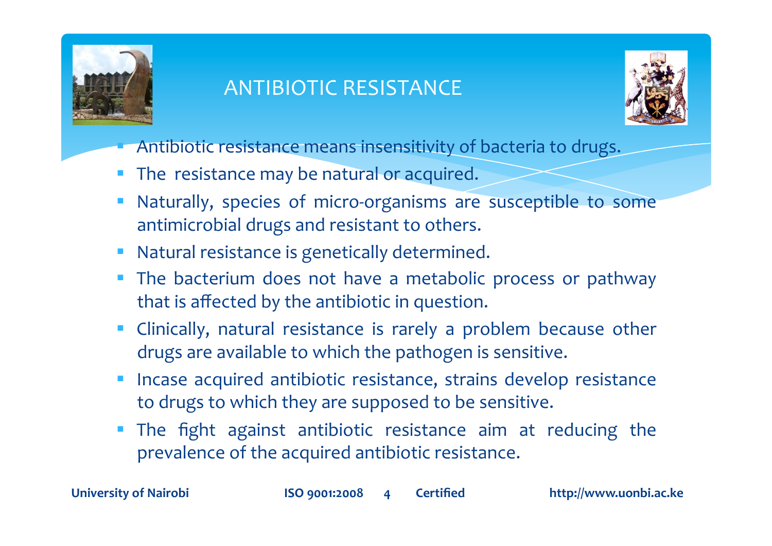

# **ANTIBIOTIC RESISTANCE**



- Antibiotic resistance means insensitivity of bacteria to drugs.
- The resistance may be natural or acquired.  $\mathcal{L}_{\mathcal{A}}$
- Naturally, species of micro-organisms are susceptible to some antimicrobial drugs and resistant to others.
- Natural resistance is genetically determined.
- The bacterium does not have a metabolic process or pathway  $\Box$ that is affected by the antibiotic in question.
- Clinically, natural resistance is rarely a problem because other drugs are available to which the pathogen is sensitive.
- Incase acquired antibiotic resistance, strains develop resistance to drugs to which they are supposed to be sensitive.
- The fight against antibiotic resistance aim at reducing the prevalence of the acquired antibiotic resistance.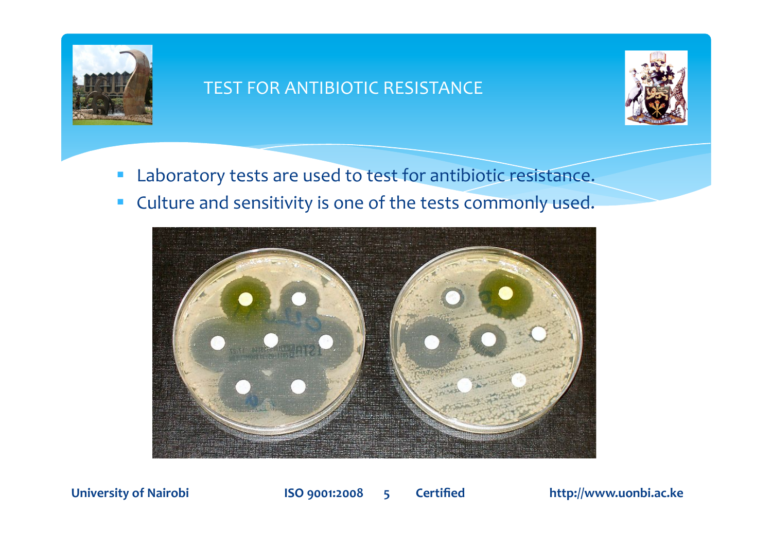

#### TEST FOR ANTIBIOTIC RESISTANCE



- **Laboratory tests are used to test for antibiotic resistance.**
- **Culture and sensitivity is one of the tests commonly used.**



University of Nairobi **8 <b>Shep 3** ISO 9001:2008 5 **6** Certified **1900** http://www.uonbi.ac.ke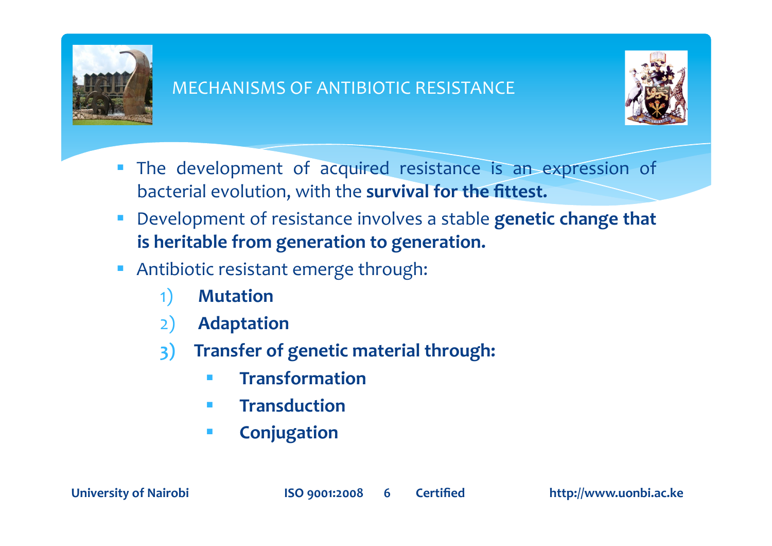

#### **MECHANISMS OF ANTIBIOTIC RESISTANCE**



- The development of acquired resistance is an expression of I. bacterial evolution, with the survival for the fittest.
- Development of resistance involves a stable genetic change that  $\overline{\phantom{a}}$ is heritable from generation to generation.
- Antibiotic resistant emerge through:  $\overline{\mathbb{R}}$ 
	- **Mutation**  $\left( \begin{matrix} 1 \end{matrix} \right)$
	- **Adaptation**  $2)$
	- Transfer of genetic material through:  $3)$ 
		- **Transformation**  $\mathcal{L}^{\mathcal{L}}$
		- **Transduction**  $\mathcal{L}_{\mathcal{A}}$
		- Conjugation  $\mathcal{L}_{\mathcal{A}}$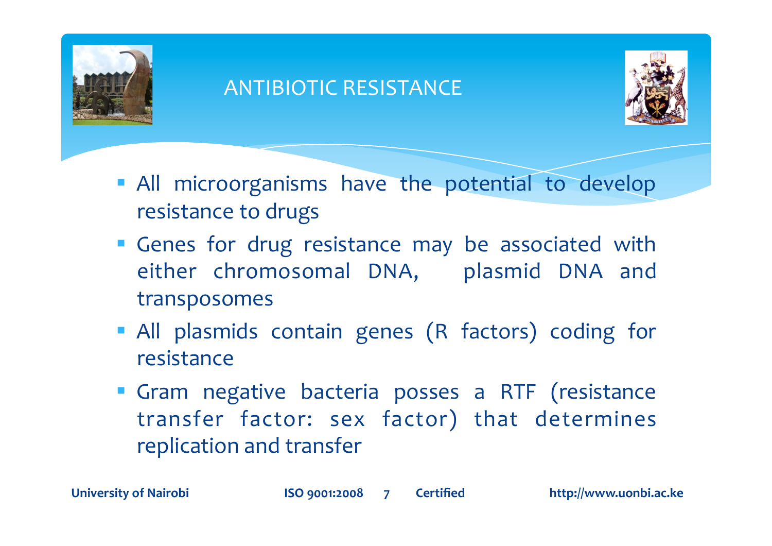

### **ANTIBIOTIC RESISTANCE**



- All microorganisms have the potential to develop resistance to drugs
- Genes for drug resistance may be associated with either chromosomal DNA, plasmid DNA and transposomes
- All plasmids contain genes (R factors) coding for resistance
- " Gram negative bacteria posses a RTF (resistance transfer factor: sex factor) that determines replication and transfer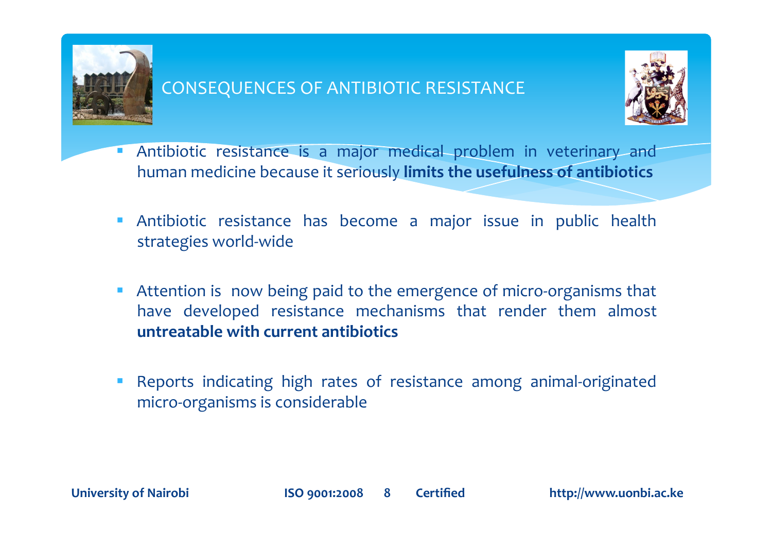

#### **CONSEQUENCES OF ANTIBIOTIC RESISTANCE**



- Antibiotic resistance is a major medical problem in veterinary and  $\mathcal{L}_{\mathcal{A}}$ human medicine because it seriously limits the usefulness of antibiotics
- Antibiotic resistance has become a major issue in public health  $\mathcal{L}^{\mathcal{A}}$ strategies world-wide
- Attention is now being paid to the emergence of micro-organisms that  $\blacksquare$ have developed resistance mechanisms that render them almost untreatable with current antibiotics
- Reports indicating high rates of resistance among animal-originated  $\mathcal{L}_{\mathcal{A}}$ micro-organisms is considerable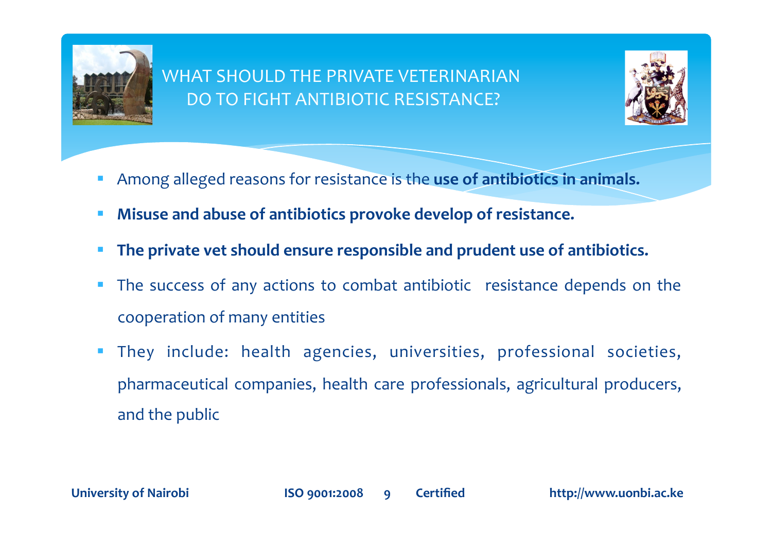

#### **WHAT SHOULD THE PRIVATE VETERINARIAN** DO TO FIGHT ANTIBIOTIC RESISTANCE?



- Among alleged reasons for resistance is the use of antibiotics in animals.
- Misuse and abuse of antibiotics provoke develop of resistance.  $\mathcal{L}_{\mathcal{A}}$
- The private vet should ensure responsible and prudent use of antibiotics.
- The success of any actions to combat antibiotic resistance depends on the  $\overline{\mathcal{L}}$ cooperation of many entities
- They include: health agencies, universities, professional societies,  $\mathcal{L}_{\mathcal{A}}$ pharmaceutical companies, health care professionals, agricultural producers, and the public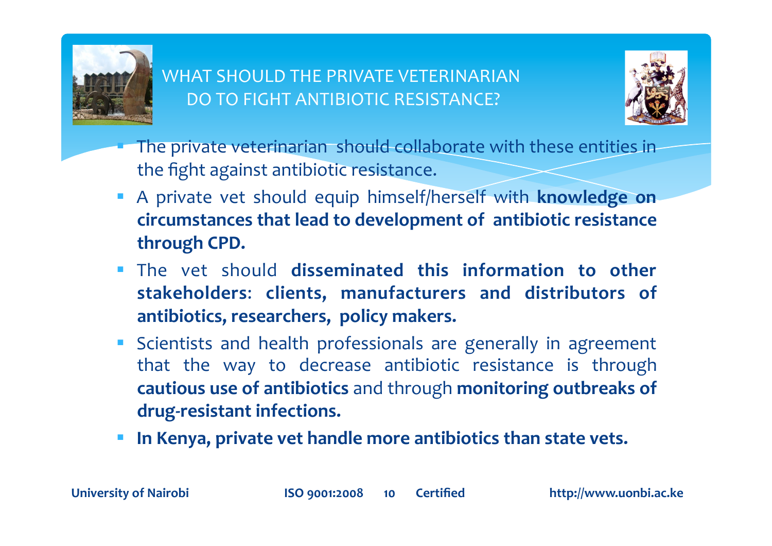

#### WHAT SHOULD THE PRIVATE VETERINARIAN DO TO FIGHT ANTIBIOTIC RESISTANCE?



- The private veterinarian should collaborate with these entities in the fight against antibiotic resistance.
- A private vet should equip himself/herself with **knowledge on** circumstances that lead to development of antibiotic resistance **through\$CPD.\$**
- The vet should **disseminated this information to other stakeholders**:! **clients,\$ manufacturers\$ and\$ distributors\$ of\$** antibiotics, researchers, policy makers.
- Scientists and health professionals are generally in agreement that the way to decrease antibiotic resistance is through **cautious use of antibiotics** and through **monitoring outbreaks of** drug-resistant infections.
- In Kenya, private vet handle more antibiotics than state vets.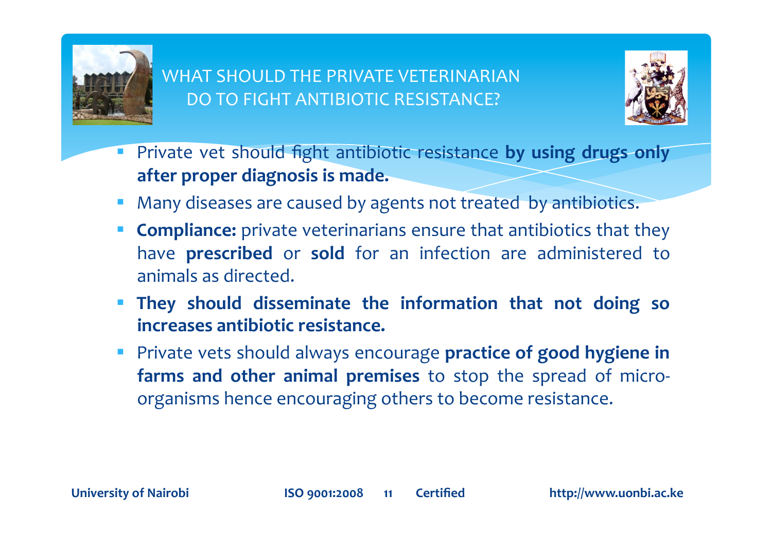

#### **WHAT SHOULD THE PRIVATE VETERINARIAN** DO TO FIGHT ANTIBIOTIC RESISTANCE?



- Private vet should fight antibiotic resistance by using drugs only  $\mathcal{L}_{\mathcal{A}}$ after proper diagnosis is made.
- Many diseases are caused by agents not treated by antibiotics.
- **Compliance:** private veterinarians ensure that antibiotics that they have prescribed or sold for an infection are administered to animals as directed.
- They should disseminate the information that not doing so increases antibiotic resistance.
- Private vets should always encourage practice of good hygiene in farms and other animal premises to stop the spread of microorganisms hence encouraging others to become resistance.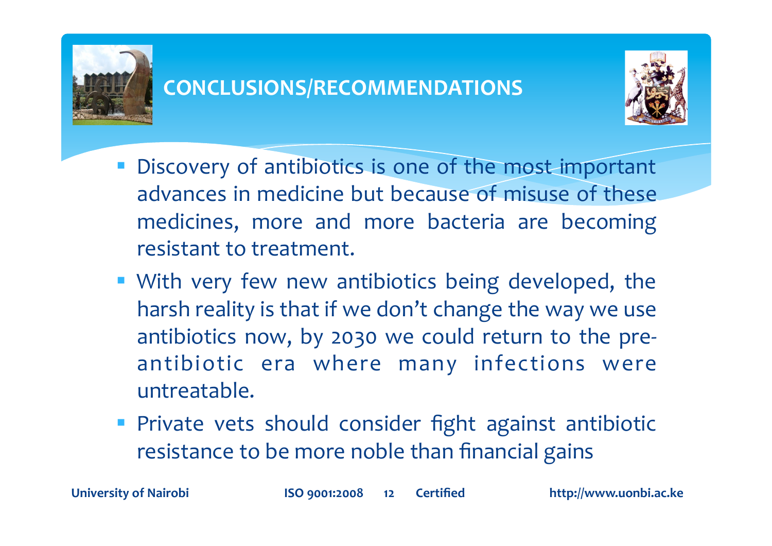



- Discovery of antibiotics is one of the most important advances in medicine but because of misuse of these medicines, more and more bacteria are becoming resistant to treatment.
- With very few new antibiotics being developed, the harsh reality is that if we don't change the way we use antibiotics now, by 2030 we could return to the preantibiotic era where many infections were untreatable.
- Private vets should consider fight against antibiotic resistance to be more noble than financial gains

**University of Nairobi**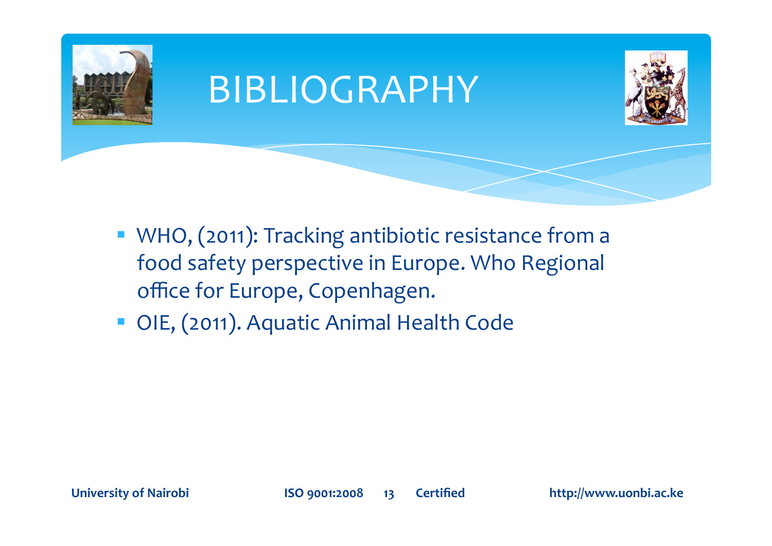

- WHO, (2011): Tracking antibiotic resistance from a food safety perspective in Europe. Who Regional office for Europe, Copenhagen.
- OIE, (2011). Aquatic Animal Health Code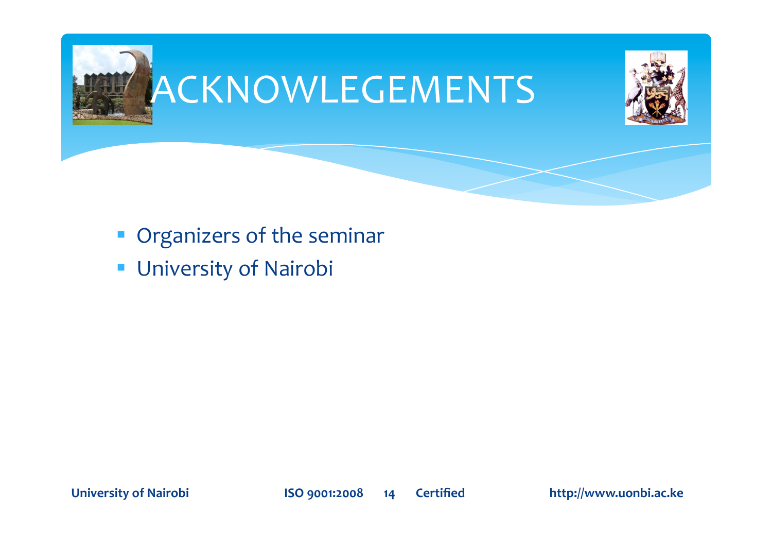

- Organizers of the seminar
- **University of Nairobi**

**University of Nairobi**